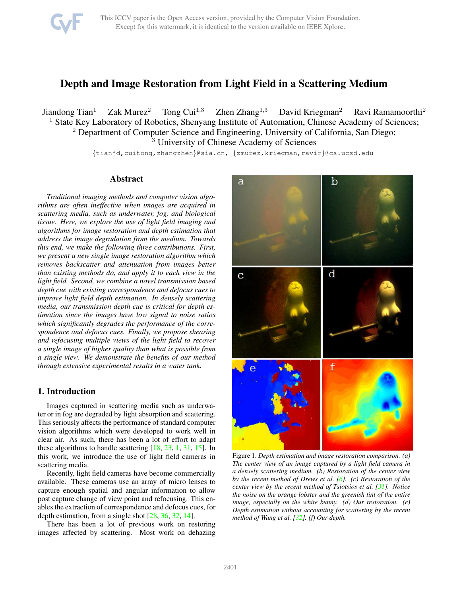

# <span id="page-0-1"></span>Depth and Image Restoration from Light Field in a Scattering Medium

Jiandong Tian<sup>1</sup> Zak Murez<sup>2</sup> Tong Cui<sup>1,3</sup> Zhen Zhang<sup>1,3</sup> David Kriegman<sup>2</sup> Ravi Ramamoorthi<sup>2</sup> <sup>1</sup> State Key Laboratory of Robotics, Shenyang Institute of Automation, Chinese Academy of Sciences; <sup>2</sup> Department of Computer Science and Engineering, University of California, San Diego; <sup>3</sup> University of Chinese Academy of Sciences

{tianjd,cuitong,zhangzhen}@sia.cn, {zmurez,kriegman,ravir}@cs.ucsd.edu

# Abstract

*Traditional imaging methods and computer vision algorithms are often ineffective when images are acquired in scattering media, such as underwater, fog, and biological tissue. Here, we explore the use of light field imaging and algorithms for image restoration and depth estimation that address the image degradation from the medium. Towards this end, we make the following three contributions. First, we present a new single image restoration algorithm which removes backscatter and attenuation from images better than existing methods do, and apply it to each view in the light field. Second, we combine a novel transmission based depth cue with existing correspondence and defocus cues to improve light field depth estimation. In densely scattering media, our transmission depth cue is critical for depth estimation since the images have low signal to noise ratios which significantly degrades the performance of the correspondence and defocus cues. Finally, we propose shearing and refocusing multiple views of the light field to recover a single image of higher quality than what is possible from a single view. We demonstrate the benefits of our method through extensive experimental results in a water tank.*

# 1. Introduction

Images captured in scattering media such as underwater or in fog are degraded by light absorption and scattering. This seriously affects the performance of standard computer vision algorithms which were developed to work well in clear air. As such, there has been a lot of effort to adapt these algorithms to handle scattering [\[18,](#page-8-0) [23,](#page-8-1) [1,](#page-8-2) [31,](#page-8-3) [15\]](#page-8-4). In this work, we introduce the use of light field cameras in scattering media.

Recently, light field cameras have become commercially available. These cameras use an array of micro lenses to capture enough spatial and angular information to allow post capture change of view point and refocusing. This enables the extraction of correspondence and defocus cues, for depth estimation, from a single shot [\[28,](#page-8-5) [36,](#page-9-0) [32,](#page-8-6) [14\]](#page-8-7).

There has been a lot of previous work on restoring images affected by scattering. Most work on dehazing



<span id="page-0-0"></span>Figure 1. *Depth estimation and image restoration comparison. (a) The center view of an image captured by a light field camera in a densely scattering medium. (b) Restoration of the center view by the recent method of Drews et al. [\[6\]](#page-8-8). (c) Restoration of the center view by the recent method of Tsiotsios et al. [\[31\]](#page-8-3). Notice the noise on the orange lobster and the greenish tint of the entire image, especially on the white bunny. (d) Our restoration. (e) Depth estimation without accounting for scattering by the recent method of Wang et al. [\[32\]](#page-8-6). (f) Our depth.*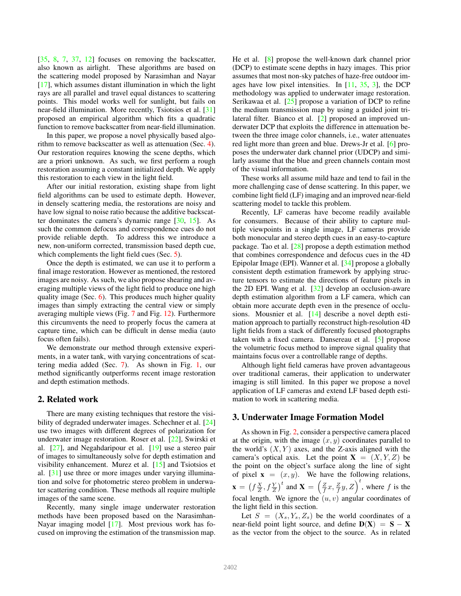<span id="page-1-0"></span>[\[35,](#page-9-1) [8,](#page-8-9) [7,](#page-8-10) [37,](#page-9-2) [12\]](#page-8-11) focuses on removing the backscatter, also known as airlight. These algorithms are based on the scattering model proposed by Narasimhan and Nayar [\[17\]](#page-8-12), which assumes distant illumination in which the light rays are all parallel and travel equal distances to scattering points. This model works well for sunlight, but fails on near-field illumination. More recently, Tsiotsios et al. [\[31\]](#page-8-3) proposed an empirical algorithm which fits a quadratic function to remove backscatter from near-field illumination.

In this paper, we propose a novel physically based algorithm to remove backscatter as well as attenuation (Sec. [4\)](#page-3-0). Our restoration requires knowing the scene depths, which are a priori unknown. As such, we first perform a rough restoration assuming a constant initialized depth. We apply this restoration to each view in the light field.

After our initial restoration, existing shape from light field algorithms can be used to estimate depth. However, in densely scattering media, the restorations are noisy and have low signal to noise ratio because the additive backscatter dominates the camera's dynamic range [\[30,](#page-8-13) [15\]](#page-8-4). As such the common defocus and correspondence cues do not provide reliable depth. To address this we introduce a new, non-uniform corrected, transmission based depth cue, which complements the light field cues (Sec. [5\)](#page-3-1).

Once the depth is estimated, we can use it to perform a final image restoration. However as mentioned, the restored images are noisy. As such, we also propose shearing and averaging multiple views of the light field to produce one high quality image (Sec. [6\)](#page-5-0). This produces much higher quality images than simply extracting the central view or simply averaging multiple views (Fig. [7](#page-5-1) and Fig. [12\)](#page-7-0). Furthermore this circumvents the need to properly focus the camera at capture time, which can be difficult in dense media (auto focus often fails).

We demonstrate our method through extensive experiments, in a water tank, with varying concentrations of scattering media added (Sec. [7\)](#page-5-2). As shown in Fig. [1,](#page-0-0) our method significantly outperforms recent image restoration and depth estimation methods.

## 2. Related work

There are many existing techniques that restore the visibility of degraded underwater images. Schechner et al. [\[24\]](#page-8-14) use two images with different degrees of polarization for underwater image restoration. Roser et al. [\[22\]](#page-8-15), Swirski et al. [\[27\]](#page-8-16), and Negahdaripour et al. [\[19\]](#page-8-17) use a stereo pair of images to simultaneously solve for depth estimation and visibility enhancement. Murez et al. [\[15\]](#page-8-4) and Tsiotsios et al. [\[31\]](#page-8-3) use three or more images under varying illumination and solve for photometric stereo problem in underwater scattering condition. These methods all require multiple images of the same scene.

Recently, many single image underwater restoration methods have been proposed based on the Narasimhan-Nayar imaging model [\[17\]](#page-8-12). Most previous work has focused on improving the estimation of the transmission map.

He et al. [\[8\]](#page-8-9) propose the well-known dark channel prior (DCP) to estimate scene depths in hazy images. This prior assumes that most non-sky patches of haze-free outdoor images have low pixel intensities. In [\[11,](#page-8-18) [35,](#page-9-1) [3\]](#page-8-19), the DCP methodology was applied to underwater image restoration. Serikawaa et al. [\[25\]](#page-8-20) propose a variation of DCP to refine the medium transmission map by using a guided joint trilateral filter. Bianco et al. [\[2\]](#page-8-21) proposed an improved underwater DCP that exploits the difference in attenuation between the three image color channels, i.e., water attenuates red light more than green and blue. Drews-Jr et al. [\[6\]](#page-8-8) proposes the underwater dark channel prior (UDCP) and similarly assume that the blue and green channels contain most of the visual information.

These works all assume mild haze and tend to fail in the more challenging case of dense scattering. In this paper, we combine light field (LF) imaging and an improved near-field scattering model to tackle this problem.

Recently, LF cameras have become readily available for consumers. Because of their ability to capture multiple viewpoints in a single image, LF cameras provide both monocular and stereo depth cues in an easy-to-capture package. Tao et al. [\[28\]](#page-8-5) propose a depth estimation method that combines correspondence and defocus cues in the 4D Epipolar Image (EPI). Wanner et al. [\[34\]](#page-9-3) propose a globally consistent depth estimation framework by applying structure tensors to estimate the directions of feature pixels in the 2D EPI. Wang et al. [\[32\]](#page-8-6) develop an occlusion-aware depth estimation algorithm from a LF camera, which can obtain more accurate depth even in the presence of occlusions. Mousnier et al. [\[14\]](#page-8-7) describe a novel depth estimation approach to partially reconstruct high-resolution 4D light fields from a stack of differently focused photographs taken with a fixed camera. Dansereau et al. [\[5\]](#page-8-22) propose the volumetric focus method to improve signal quality that maintains focus over a controllable range of depths.

Although light field cameras have proven advantageous over traditional cameras, their application to underwater imaging is still limited. In this paper we propose a novel application of LF cameras and extend LF based depth estimation to work in scattering media.

# 3. Underwater Image Formation Model

As shown in Fig. [2,](#page-2-0) consider a perspective camera placed at the origin, with the image  $(x, y)$  coordinates parallel to the world's  $(X, Y)$  axes, and the Z-axis aligned with the camera's optical axis. Let the point  $X = (X, Y, Z)$  be the point on the object's surface along the line of sight of pixel  $\mathbf{x} = (x, y)$ . We have the following relations,  $\mathbf{x} = (f\frac{X}{Z}, f\frac{Y}{Z})^t$  and  $\mathbf{X} = (\frac{Z}{f}x, \frac{Z}{f}y, Z)^t$ , where f is the focal length. We ignore the  $(u, v)$  angular coordinates of the light field in this section.

Let  $S = (X_s, Y_s, Z_s)$  be the world coordinates of a near-field point light source, and define  $D(X) = S - X$ as the vector from the object to the source. As in related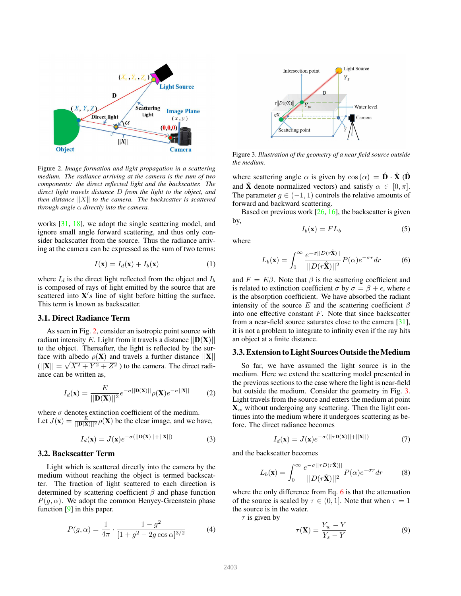<span id="page-2-6"></span>

<span id="page-2-0"></span>Figure 2. *Image formation and light propagation in a scattering medium. The radiance arriving at the camera is the sum of two components: the direct reflected light and the backscatter. The direct light travels distance* D *from the light to the object, and then distance*  $||X||$  *to the camera. The backscatter is scattered through angle* α *directly into the camera.*

works [\[31,](#page-8-3) [18\]](#page-8-0), we adopt the single scattering model, and ignore small angle forward scattering, and thus only consider backscatter from the source. Thus the radiance arriving at the camera can be expressed as the sum of two terms:

<span id="page-2-4"></span>
$$
I(\mathbf{x}) = I_d(\mathbf{x}) + I_b(\mathbf{x})
$$
 (1)

where  $I_d$  is the direct light reflected from the object and  $I_b$ is composed of rays of light emitted by the source that are scattered into  $X's$  line of sight before hitting the surface. This term is known as backscatter.

### 3.1. Direct Radiance Term

As seen in Fig. [2,](#page-2-0) consider an isotropic point source with radiant intensity E. Light from it travels a distance  $||\mathbf{D}(\mathbf{X})||$ to the object. Thereafter, the light is reflected by the surface with albedo  $\rho(\mathbf{X})$  and travels a further distance  $||\mathbf{X}||$  $(||\mathbf{X}|| = \sqrt{X^2 + Y^2 + Z^2})$  to the camera. The direct radiance can be written as,

$$
I_d(\mathbf{x}) = \frac{E}{||\mathbf{D}(\mathbf{X})||^2} e^{-\sigma||\mathbf{D}(\mathbf{X})||} \rho(\mathbf{X}) e^{-\sigma||\mathbf{X}||}
$$
 (2)

where  $\sigma$  denotes extinction coefficient of the medium. Let  $J(\mathbf{x}) = \frac{E}{\|\mathbf{D}(\mathbf{X})\|^2} \rho(\mathbf{X})$  be the clear image, and we have,

<span id="page-2-3"></span>
$$
I_d(\mathbf{x}) = J(\mathbf{x})e^{-\sigma(||\mathbf{D}(\mathbf{X})||+||\mathbf{X}||)}\tag{3}
$$

#### 3.2. Backscatter Term

Light which is scattered directly into the camera by the medium without reaching the object is termed backscatter. The fraction of light scattered to each direction is determined by scattering coefficient  $\beta$  and phase function  $P(g, \alpha)$ . We adopt the common Henyey-Greenstein phase function [\[9\]](#page-8-23) in this paper.

$$
P(g,\alpha) = \frac{1}{4\pi} \cdot \frac{1 - g^2}{[1 + g^2 - 2g\cos\alpha]^{3/2}}\tag{4}
$$



<span id="page-2-1"></span>Figure 3. *Illustration of the geometry of a near field source outside the medium.*

where scattering angle  $\alpha$  is given by  $\cos(\alpha) = \mathbf{D} \cdot \mathbf{X}$  (D and  $\hat{\mathbf{X}}$  denote normalized vectors) and satisfy  $\alpha \in [0, \pi]$ . The parameter  $g \in (-1, 1)$  controls the relative amounts of forward and backward scattering.

Based on previous work  $[26, 16]$  $[26, 16]$ , the backscatter is given by,

<span id="page-2-5"></span>
$$
I_b(\mathbf{x}) = FL_b \tag{5}
$$

where

<span id="page-2-2"></span>
$$
L_b(\mathbf{x}) = \int_0^\infty \frac{e^{-\sigma||D(r\hat{\mathbf{x}})||}}{||D(r\hat{\mathbf{x}})||^2} P(\alpha)e^{-\sigma r} dr \tag{6}
$$

and  $F = E\beta$ . Note that  $\beta$  is the scattering coefficient and is related to extinction coefficient  $\sigma$  by  $\sigma = \beta + \epsilon$ , where  $\epsilon$ is the absorption coefficient. We have absorbed the radiant intensity of the source E and the scattering coefficient  $\beta$ into one effective constant  $F$ . Note that since backscatter from a near-field source saturates close to the camera [\[31\]](#page-8-3), it is not a problem to integrate to infinity even if the ray hits an object at a finite distance.

#### 3.3. Extension to Light Sources Outside the Medium

So far, we have assumed the light source is in the medium. Here we extend the scattering model presented in the previous sections to the case where the light is near-field but outside the medium. Consider the geometry in Fig. [3.](#page-2-1) Light travels from the source and enters the medium at point  $\mathbf{X}_w$  without undergoing any scattering. Then the light continues into the medium where it undergoes scattering as before. The direct radiance becomes

$$
I_d(\mathbf{x}) = J(\mathbf{x})e^{-\sigma(||\tau \mathbf{D}(\mathbf{X})||+||\mathbf{X}||)}\tag{7}
$$

and the backscatter becomes

$$
L_b(\mathbf{x}) = \int_0^\infty \frac{e^{-\sigma ||\tau D(r\hat{\mathbf{X}})||}}{||D(r\hat{\mathbf{X}})||^2} P(\alpha) e^{-\sigma r} dr \tag{8}
$$

where the only difference from Eq. [6](#page-2-2) is that the attenuation of the source is scaled by  $\tau \in (0, 1]$ . Note that when  $\tau = 1$ the source is in the water.

 $\tau$  is given by

$$
\tau(\mathbf{X}) = \frac{Y_w - Y}{Y_s - Y} \tag{9}
$$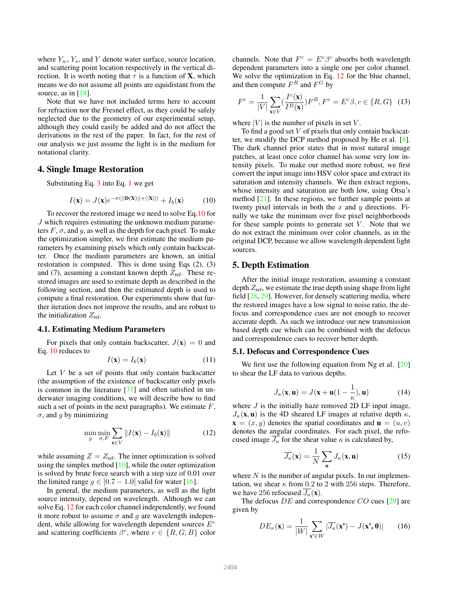<span id="page-3-4"></span>where  $Y_w$ ,  $Y_s$ , and Y denote water surface, source location, and scattering point location respectively in the vertical direction. It is worth noting that  $\tau$  is a function of **X**, which means we do not assume all points are equidistant from the source, as in  $[18]$ .

Note that we have not included terms here to account for refraction nor the Fresnel effect, as they could be safely neglected due to the geometry of our experimental setup, although they could easily be added and do not affect the derivations in the rest of the paper. In fact, for the rest of our analysis we just assume the light is in the medium for notational clarity.

# <span id="page-3-0"></span>4. Single Image Restoration

Substituting Eq. [3](#page-2-3) into Eq. [1](#page-2-4) we get

<span id="page-3-2"></span>
$$
I(\mathbf{x}) = J(\mathbf{x})e^{-\sigma(||\mathbf{D}(\mathbf{X})||+||\mathbf{X}||)} + I_b(\mathbf{x})
$$
 (10)

To recover the restored image we need to solve Eq[.10](#page-3-2) for J which requires estimating the unknown medium parameters  $F$ ,  $\sigma$ , and  $g$ , as well as the depth for each pixel. To make the optimization simpler, we first estimate the medium parameters by examining pixels which only contain backscatter. Once the medium parameters are known, an initial restoration is computed. This is done using Eqs (2), (3) and (7), assuming a constant known depth  $Z_{\text{ref}}$ . These restored images are used to estimate depth as described in the following section, and then the estimated depth is used to compute a final restoration. Our experiments show that further iteration does not improve the results, and are robust to the initialization  $Z_{\text{ref}}$ .

#### 4.1. Estimating Medium Parameters

For pixels that only contain backscatter,  $J(\mathbf{x}) = 0$  and Eq. [10](#page-3-2) reduces to

$$
I(\mathbf{x}) = I_b(\mathbf{x}) \tag{11}
$$

Let  $V$  be a set of points that only contain backscatter (the assumption of the existence of backscatter only pixels is common in the literature  $[31]$  and often satisfied in underwater imaging conditions, we will describe how to find such a set of points in the next paragraphs). We estimate  $F$ ,  $\sigma$ , and q by minimizing

<span id="page-3-3"></span>
$$
\min_{g} \min_{\sigma, F} \sum_{\mathbf{x} \in V} ||I(\mathbf{x}) - I_b(\mathbf{x})|| \tag{12}
$$

while assuming  $Z = Z_{\text{ref}}$ . The inner optimization is solved using the simplex method [\[10\]](#page-8-26), while the outer optimization is solved by brute force search with a step size of 0.01 over the limited range  $g \in [0.7 - 1.0]$  valid for water [\[16\]](#page-8-25).

In general, the medium parameters, as well as the light source intensity, depend on wavelength. Although we can solve Eq. [12](#page-3-3) for each color channel independently, we found it more robust to assume  $\sigma$  and g are wavelength independent, while allowing for wavelength dependent sources  $E^c$ and scattering coefficients  $\beta^c$ , where  $c \in \{R, G, B\}$  color

channels. Note that  $F^c = E^c \beta^c$  absorbs both wavelength dependent parameters into a single one per color channel. We solve the optimization in Eq. [12](#page-3-3) for the blue channel, and then compute  $F^R$  and  $F^G$  by

$$
F^{c} = \frac{1}{|V|} \sum_{\mathbf{x} \in V} \left(\frac{I^{c}(\mathbf{x})}{I^{B}(\mathbf{x})}\right) F^{B}, F^{c} = E^{c}\beta, c \in \{R, G\} \quad (13)
$$

where  $|V|$  is the number of pixels in set V.

To find a good set  $V$  of pixels that only contain backscatter, we modify the DCP method proposed by He et al. [\[8\]](#page-8-9). The dark channel prior states that in most natural image patches, at least once color channel has some very low intensity pixels. To make our method more robust, we first convert the input image into HSV color space and extract its saturation and intensity channels. We then extract regions, whose intensity and saturation are both low, using Otsu's method  $[21]$ . In these regions, we further sample points at twenty pixel intervals in both the  $x$  and  $y$  directions. Finally we take the minimum over five pixel neighborhoods for these sample points to generate set  $V$ . Note that we do not extract the minimum over color channels, as in the original DCP, because we allow wavelength dependent light sources.

#### <span id="page-3-1"></span>5. Depth Estimation

After the initial image restoration, assuming a constant depth  $Z_{\text{ref}}$ , we estimate the true depth using shape from light field  $[28, 29]$  $[28, 29]$ . However, for densely scattering media, where the restored images have a low signal to noise ratio, the defocus and correspondence cues are not enough to recover accurate depth. As such we introduce our new transmission based depth cue which can be combined with the defocus and correspondence cues to recover better depth.

#### 5.1. Defocus and Correspondence Cues

We first use the following equation from Ng et al. [\[20\]](#page-8-29) to shear the LF data to various depths.

$$
J_{\kappa}(\mathbf{x}, \mathbf{u}) = J(\mathbf{x} + \mathbf{u}(1 - \frac{1}{\kappa}), \mathbf{u})
$$
 (14)

where  $J$  is the initially haze removed 2D LF input image,  $J_{\kappa}(\mathbf{x}, \mathbf{u})$  is the 4D sheared LF images at relative depth  $\kappa$ ,  $\mathbf{x} = (x, y)$  denotes the spatial coordinates and  $\mathbf{u} = (u, v)$ denotes the angular coordinates. For each pixel, the refocused image  $\overline{J_{\kappa}}$  for the shear value  $\kappa$  is calculated by,

$$
\overline{J_{\kappa}}(\mathbf{x}) = \frac{1}{N} \sum_{\mathbf{u}} J_{\kappa}(\mathbf{x}, \mathbf{u})
$$
 (15)

where  $N$  is the number of angular pixels. In our implementation, we shear  $\kappa$  from 0.2 to 2 with 256 steps. Therefore, we have 256 refocused  $\overline{J_{\kappa}}(\mathbf{x})$ .

The defocus  $DE$  and correspondence  $CO$  cues [\[29\]](#page-8-28) are given by

$$
DE_{\kappa}(\mathbf{x}) = \frac{1}{|W|} \sum_{\mathbf{x'} \in W} |\overline{J_{\kappa}}(\mathbf{x'}) - J(\mathbf{x'}, \mathbf{0})| \qquad (16)
$$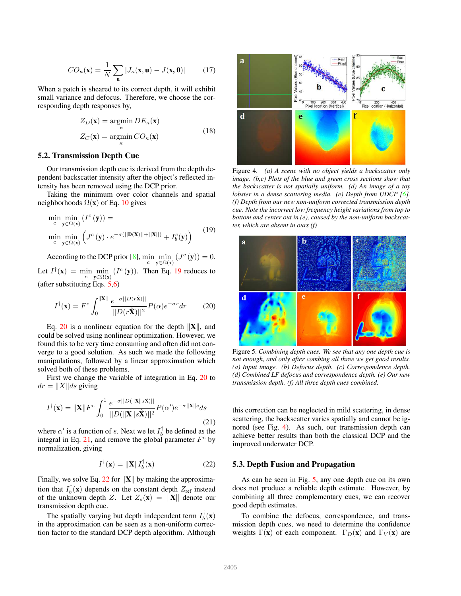<span id="page-4-6"></span>
$$
CO_{\kappa}(\mathbf{x}) = \frac{1}{N} \sum_{\mathbf{u}} |J_{\kappa}(\mathbf{x}, \mathbf{u}) - J(\mathbf{x}, \mathbf{0})|
$$
 (17)

When a patch is sheared to its correct depth, it will exhibit small variance and defocus. Therefore, we choose the corresponding depth responses by,

$$
Z_D(\mathbf{x}) = \underset{\kappa}{\operatorname{argmin}} \, DE_{\kappa}(\mathbf{x})
$$

$$
Z_C(\mathbf{x}) = \underset{\kappa}{\operatorname{argmin}} \, CO_{\kappa}(\mathbf{x})
$$
(18)

#### 5.2. Transmission Depth Cue

Our transmission depth cue is derived from the depth dependent backscatter intensity after the object's reflected intensity has been removed using the DCP prior.

Taking the minimum over color channels and spatial neighborhoods  $\Omega(x)$  of Eq. [10](#page-3-2) gives

<span id="page-4-0"></span>
$$
\min_{c} \min_{\mathbf{y} \in \Omega(\mathbf{x})} (I^{c}(\mathbf{y})) = \n\min_{c} \min_{\mathbf{y} \in \Omega(\mathbf{x})} (J^{c}(\mathbf{y}) \cdot e^{-\sigma(||\mathbf{D}(\mathbf{X})||+||\mathbf{X}||)} + I_{b}^{c}(\mathbf{y}))
$$
\n(19)

According to the DCP prior [\[8\]](#page-8-9),  $\min_{c} \min_{\mathbf{y} \in \Omega(\mathbf{x})} (J^c(\mathbf{y})) = 0.$ 

Let  $I^{\dagger}(\mathbf{x}) = \min_{c} \min_{\mathbf{y} \in \Omega(\mathbf{x})} (I^c(\mathbf{y}))$ . Then Eq. [19](#page-4-0) reduces to (after substituting Eqs. [5,](#page-2-5)[6\)](#page-2-2)

<span id="page-4-1"></span>
$$
I^{\dagger}(\mathbf{x}) = F^c \int_0^{||\mathbf{X}||} \frac{e^{-\sigma ||D(r\hat{\mathbf{X}})||}}{||D(r\hat{\mathbf{X}})||^2} P(\alpha) e^{-\sigma r} dr \qquad (20)
$$

Eq. [20](#page-4-1) is a nonlinear equation for the depth  $\|\mathbf{X}\|$ , and could be solved using nonlinear optimization. However, we found this to be very time consuming and often did not converge to a good solution. As such we made the following manipulations, followed by a linear approximation which solved both of these problems.

First we change the variable of integration in Eq. [20](#page-4-1) to  $dr = ||X||ds$  giving

<span id="page-4-2"></span>
$$
I^{\dagger}(\mathbf{x}) = \|\mathbf{X}\| F^c \int_0^1 \frac{e^{-\sigma ||D(||\mathbf{X}|| s\hat{\mathbf{X}})||}}{||D(||\mathbf{X}|| s\hat{\mathbf{X}})||^2} P(\alpha') e^{-\sigma ||\mathbf{X}|| s} ds
$$
\n(21)

where  $\alpha'$  is a function of s. Next we let  $I_b^{\dagger}$  be defined as the integral in Eq. [21,](#page-4-2) and remove the global parameter  $F^c$  by normalization, giving

<span id="page-4-3"></span>
$$
I^{\dagger}(\mathbf{x}) = \|\mathbf{X}\| I_b^{\dagger}(\mathbf{x}) \tag{22}
$$

Finally, we solve Eq. [22](#page-4-3) for  $\|\mathbf{X}\|$  by making the approximation that  $I_b^{\dagger}(\mathbf{x})$  depends on the constant depth  $Z_{\text{ref}}$  instead of the unknown depth Z. Let  $Z_s(\mathbf{x}) = ||\mathbf{X}||$  denote our transmission depth cue.

The spatially varying but depth independent term  $I_b^{\dagger}(\mathbf{x})$ in the approximation can be seen as a non-uniform correction factor to the standard DCP depth algorithm. Although



<span id="page-4-4"></span>Figure 4. *(a) A scene with no object yields a backscatter only image. (b,c) Plots of the blue and green cross sections show that the backscatter is not spatially uniform. (d) An image of a toy lobster in a dense scattering media. (e) Depth from UDCP [\[6\]](#page-8-8). (f) Depth from our new non-uniform corrected transmission depth cue. Note the incorrect low frequency height variations from top to bottom and center out in (e), caused by the non-uniform backscatter, which are absent in ours (f)*



<span id="page-4-5"></span>Figure 5. *Combining depth cues. We see that any one depth cue is not enough, and only after combing all three we get good results. (a) Input image. (b) Defocus depth. (c) Correspondence depth. (d) Combined LF defocus and correspondence depth. (e) Our new transmission depth. (f) All three depth cues combined.*

this correction can be neglected in mild scattering, in dense scattering, the backscatter varies spatially and cannot be ignored (see Fig. [4\)](#page-4-4). As such, our transmission depth can achieve better results than both the classical DCP and the improved underwater DCP.

#### 5.3. Depth Fusion and Propagation

As can be seen in Fig. [5,](#page-4-5) any one depth cue on its own does not produce a reliable depth estimate. However, by combining all three complementary cues, we can recover good depth estimates.

To combine the defocus, correspondence, and transmission depth cues, we need to determine the confidence weights  $\Gamma(\mathbf{x})$  of each component.  $\Gamma_D(\mathbf{x})$  and  $\Gamma_V(\mathbf{x})$  are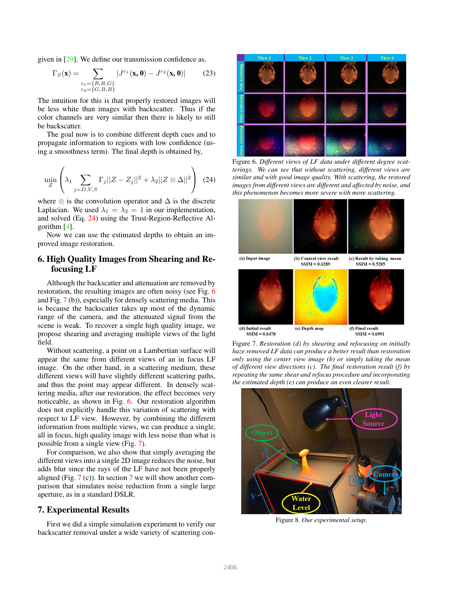<span id="page-5-6"></span>given in [\[29\]](#page-8-28). We define our transmission confidence as,

$$
\Gamma_S(\mathbf{x}) = \sum_{\substack{c_1 = \{R, R, G\} \\ c_2 = \{G, B, B\}}} |J^{c_1}(\mathbf{x}, \mathbf{0}) - J^{c_2}(\mathbf{x}, \mathbf{0})| \tag{23}
$$

The intuition for this is that properly restored images will be less white than images with backscatter. Thus if the color channels are very similar then there is likely to still be backscatter.

The goal now is to combine different depth cues and to propagate information to regions with low confidence (using a smoothness term). The final depth is obtained by,

<span id="page-5-3"></span>
$$
\min_{Z} \left( \lambda_1 \sum_{j=D,V,S} \Gamma_j ||Z - Z_j||^2 + \lambda_2 ||Z \otimes \Delta||^2 \right) \tag{24}
$$

where  $\otimes$  is the convolution operator and  $\Delta$  is the discrete Laplacian. We used  $\lambda_1 = \lambda_2 = 1$  in our implementation, and solved (Eq. [24\)](#page-5-3) using the Trust-Region-Reflective Algorithm [\[4\]](#page-8-30).

Now we can use the estimated depths to obtain an improved image restoration.

# <span id="page-5-0"></span>6. High Quality Images from Shearing and Refocusing LF

Although the backscatter and attenuation are removed by restoration, the resulting images are often noisy (see Fig. [6](#page-5-4) and Fig. [7](#page-5-1) (b)), especially for densely scattering media. This is because the backscatter takes up most of the dynamic range of the camera, and the attenuated signal from the scene is weak. To recover a single high quality image, we propose shearing and averaging multiple views of the light field.

Without scattering, a point on a Lambertian surface will appear the same from different views of an in focus LF image. On the other hand, in a scattering medium, these different views will have slightly different scattering paths, and thus the point may appear different. In densely scattering media, after our restoration, the effect becomes very noticeable, as shown in Fig. [6.](#page-5-4) Our restoration algorithm does not explicitly handle this variation of scattering with respect to LF view. However, by combining the different information from multiple views, we can produce a single, all in focus, high quality image with less noise than what is possible from a single view (Fig. [7\)](#page-5-1).

For comparison, we also show that simply averaging the different views into a single 2D image reduces the noise, but adds blur since the rays of the LF have not been properly aligned (Fig.  $7$  (c)). In section 7 we will show another comparison that simulates noise reduction from a single large aperture, as in a standard DSLR.

#### <span id="page-5-2"></span>7. Experimental Results

First we did a simple simulation experiment to verify our backscatter removal under a wide variety of scattering con-



Figure 6. *Different views of LF data under different degree scatterings. We can see that without scattering, different views are similar and with good image quality. With scattering, the restored images from different views are different and affected by noise, and this phenomenon becomes more severe with more scattering.*

<span id="page-5-4"></span>

<span id="page-5-1"></span>Figure 7. *Restoration (d) by shearing and refocusing on initially haze removed LF data can produce a better result than restoration only using the center view image (b) or simply taking the mean of different view directions (c). The final restoration result (f) by repeating the same shear and refocus procedure and incorporating the estimated depth (e) can produce an even clearer result.*

<span id="page-5-5"></span>

Figure 8. *Our experimental setup.*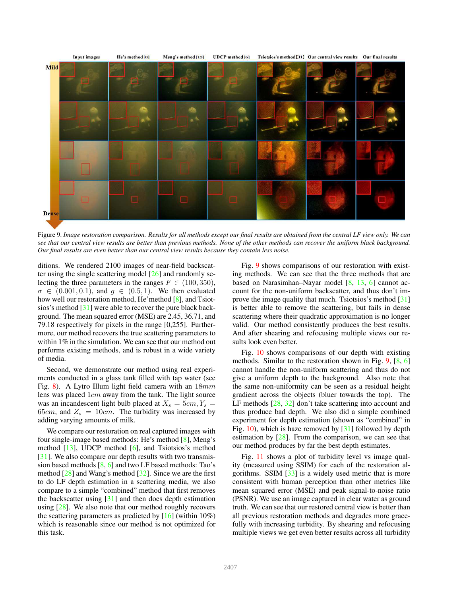<span id="page-6-1"></span>

<span id="page-6-0"></span>Figure 9. *Image restoration comparison. Results for all methods except our final results are obtained from the central LF view only. We can see that our central view results are better than previous methods. None of the other methods can recover the uniform black background. Our final results are even better than our central view results because they contain less noise.*

ditions. We rendered 2100 images of near-field backscatter using the single scattering model [\[26\]](#page-8-24) and randomly selecting the three parameters in the ranges  $F \in (100, 350)$ ,  $\sigma \in (0.001, 0.1)$ , and  $q \in (0.5, 1)$ . We then evaluated how well our restoration method, He'method [\[8\]](#page-8-9), and Tsiotsios's method [\[31\]](#page-8-3) were able to recover the pure black background. The mean squared error (MSE) are 2.45, 36.71, and 79.18 respectively for pixels in the range [0,255]. Furthermore, our method recovers the true scattering parameters to within 1% in the simulation. We can see that our method out performs existing methods, and is robust in a wide variety of media.

Second, we demonstrate our method using real experiments conducted in a glass tank filled with tap water (see Fig. [8\)](#page-5-5). A Lytro Illum light field camera with an 18mm lens was placed 1cm away from the tank. The light source was an incandescent light bulb placed at  $X_s = 5cm, Y_s =$ 65cm, and  $Z_s = 10$ cm. The turbidity was increased by adding varying amounts of milk.

We compare our restoration on real captured images with four single-image based methods: He's method [\[8\]](#page-8-9), Meng's method [\[13\]](#page-8-31), UDCP method [\[6\]](#page-8-8), and Tsiotsios's method [\[31\]](#page-8-3). We also compare our depth results with two transmission based methods [\[8,](#page-8-9) [6\]](#page-8-8) and two LF based methods: Tao's method  $[28]$  and Wang's method  $[32]$ . Since we are the first to do LF depth estimation in a scattering media, we also compare to a simple "combined" method that first removes the backscatter using  $[31]$  and then does depth estimation using [\[28\]](#page-8-5). We also note that our method roughly recovers the scattering parameters as predicted by  $[16]$  (within 10%) which is reasonable since our method is not optimized for this task.

Fig. [9](#page-6-0) shows comparisons of our restoration with existing methods. We can see that the three methods that are based on Narasimhan–Nayar model [\[8,](#page-8-9) [13,](#page-8-31) [6\]](#page-8-8) cannot account for the non-uniform backscatter, and thus don't improve the image quality that much. Tsiotsios's method [\[31\]](#page-8-3) is better able to remove the scattering, but fails in dense scattering where their quadratic approximation is no longer valid. Our method consistently produces the best results. And after shearing and refocusing multiple views our results look even better.

Fig. [10](#page-7-1) shows comparisons of our depth with existing methods. Similar to the restoration shown in Fig. [9,](#page-6-0) [\[8,](#page-8-9) [6\]](#page-8-8) cannot handle the non-uniform scattering and thus do not give a uniform depth to the background. Also note that the same non-uniformity can be seen as a residual height gradient across the objects (bluer towards the top). The LF methods [\[28,](#page-8-5) [32\]](#page-8-6) don't take scattering into account and thus produce bad depth. We also did a simple combined experiment for depth estimation (shown as "combined" in Fig. [10\)](#page-7-1), which is haze removed by [\[31\]](#page-8-3) followed by depth estimation by  $[28]$ . From the comparison, we can see that our method produces by far the best depth estimates.

Fig. [11](#page-7-2) shows a plot of turbidity level vs image quality (measured using SSIM) for each of the restoration algorithms. SSIM [\[33\]](#page-8-32) is a widely used metric that is more consistent with human perception than other metrics like mean squared error (MSE) and peak signal-to-noise ratio (PSNR). We use an image captured in clear water as ground truth. We can see that our restored central view is better than all previous restoration methods and degrades more gracefully with increasing turbidity. By shearing and refocusing multiple views we get even better results across all turbidity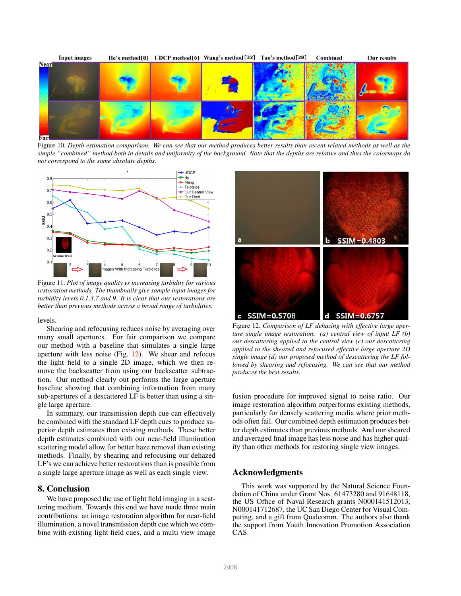

<span id="page-7-1"></span>Figure 10. *Depth estimation comparison. We can see that our method produces better results than recent related methods as well as the simple "combined" method both in details and uniformity of the background. Note that the depths are relative and thus the colormaps do not correspond to the same absolute depths.*



<span id="page-7-2"></span>Figure 11. *Plot of image quality vs increasing turbidity for various restoration methods. The thumbnails give sample input images for turbidity levels 0,1,3,7 and 9. It is clear that our restorations are better than previous methods across a broad range of turbidities.*

levels.

Shearing and refocusing reduces noise by averaging over many small apertures. For fair comparison we compare our method with a baseline that simulates a single large aperture with less noise (Fig. [12\)](#page-7-0). We shear and refocus the light field to a single 2D image, which we then remove the backscatter from using our backscatter subtraction. Our method clearly out performs the large aperture baseline showing that combining information from many sub-apertures of a descattered LF is better than using a single large aperture.

In summary, our transmission depth cue can effectively be combined with the standard LF depth cues to produce superior depth estimates than existing methods. These better depth estimates combined with our near-field illumination scattering model allow for better haze removal than existing methods. Finally, by shearing and refocusing our dehazed LF's we can achieve better restorations than is possible from a single large aperture image as well as each single view.

## 8. Conclusion

We have proposed the use of light field imaging in a scattering medium. Towards this end we have made three main contributions: an image restoration algorithm for near-field illumination, a novel transmission depth cue which we combine with existing light field cues, and a multi view image



<span id="page-7-0"></span>Figure 12. *Comparison of LF dehazing with effective large aperture single image restoration. (a) central view of input LF (b) our descattering applied to the central view (c) our descattering applied to the sheared and refocused effective large aperture 2D single image (d) our proposed method of descattering the LF followed by shearing and refocusing. We can see that our method produces the best results.*

fusion procedure for improved signal to noise ratio. Our image restoration algorithm outperforms existing methods, particularly for densely scattering media where prior methods often fail. Our combined depth estimation produces better depth estimates than previous methods. And our sheared and averaged final image has less noise and has higher quality than other methods for restoring single view images.

# Acknowledgments

This work was supported by the Natural Science Foundation of China under Grant Nos. 61473280 and 91648118, the US Office of Naval Research grants N000141512013, N000141712687, the UC San Diego Center for Visual Computing, and a gift from Qualcomm. The authors also thank the support from Youth Innovation Promotion Association CAS.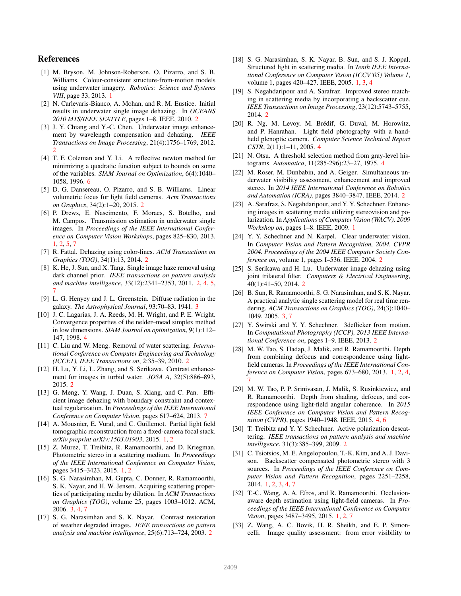# References

- <span id="page-8-2"></span>[1] M. Bryson, M. Johnson-Roberson, O. Pizarro, and S. B. Williams. Colour-consistent structure-from-motion models using underwater imagery. *Robotics: Science and Systems VIII*, page 33, 2013. [1](#page-0-1)
- <span id="page-8-21"></span>[2] N. Carlevaris-Bianco, A. Mohan, and R. M. Eustice. Initial results in underwater single image dehazing. In *OCEANS 2010 MTS/IEEE SEATTLE*, pages 1–8. IEEE, 2010. [2](#page-1-0)
- <span id="page-8-19"></span>[3] J. Y. Chiang and Y.-C. Chen. Underwater image enhancement by wavelength compensation and dehazing. *IEEE Transactions on Image Processing*, 21(4):1756–1769, 2012. [2](#page-1-0)
- <span id="page-8-30"></span>[4] T. F. Coleman and Y. Li. A reflective newton method for minimizing a quadratic function subject to bounds on some of the variables. *SIAM Journal on Optimization*, 6(4):1040– 1058, 1996. [6](#page-5-6)
- <span id="page-8-22"></span>[5] D. G. Dansereau, O. Pizarro, and S. B. Williams. Linear volumetric focus for light field cameras. *Acm Transactions on Graphics*, 34(2):1–20, 2015. [2](#page-1-0)
- <span id="page-8-8"></span>[6] P. Drews, E. Nascimento, F. Moraes, S. Botelho, and M. Campos. Transmission estimation in underwater single images. In *Proceedings of the IEEE International Conference on Computer Vision Workshops*, pages 825–830, 2013. [1,](#page-0-1) [2,](#page-1-0) [5,](#page-4-6) [7](#page-6-1)
- <span id="page-8-10"></span>[7] R. Fattal. Dehazing using color-lines. *ACM Transactions on Graphics (TOG)*, 34(1):13, 2014. [2](#page-1-0)
- <span id="page-8-9"></span>[8] K. He, J. Sun, and X. Tang. Single image haze removal using dark channel prior. *IEEE transactions on pattern analysis and machine intelligence*, 33(12):2341–2353, 2011. [2,](#page-1-0) [4,](#page-3-4) [5,](#page-4-6) [7](#page-6-1)
- <span id="page-8-23"></span>[9] L. G. Henyey and J. L. Greenstein. Diffuse radiation in the galaxy. *The Astrophysical Journal*, 93:70–83, 1941. [3](#page-2-6)
- <span id="page-8-26"></span>[10] J. C. Lagarias, J. A. Reeds, M. H. Wright, and P. E. Wright. Convergence properties of the nelder–mead simplex method in low dimensions. *SIAM Journal on optimization*, 9(1):112– 147, 1998. [4](#page-3-4)
- <span id="page-8-18"></span>[11] C. Liu and W. Meng. Removal of water scattering. *International Conference on Computer Engineering and Technology (ICCET), IEEE Transactions on*, 2:35–39, 2010. [2](#page-1-0)
- <span id="page-8-11"></span>[12] H. Lu, Y. Li, L. Zhang, and S. Serikawa. Contrast enhancement for images in turbid water. *JOSA A*, 32(5):886–893, 2015. [2](#page-1-0)
- <span id="page-8-31"></span>[13] G. Meng, Y. Wang, J. Duan, S. Xiang, and C. Pan. Efficient image dehazing with boundary constraint and contextual regularization. In *Proceedings of the IEEE International Conference on Computer Vision*, pages 617–624, 2013. [7](#page-6-1)
- <span id="page-8-7"></span>[14] A. Mousnier, E. Vural, and C. Guillemot. Partial light field tomographic reconstruction from a fixed-camera focal stack. *arXiv preprint arXiv:1503.01903*, 2015. [1,](#page-0-1) [2](#page-1-0)
- <span id="page-8-4"></span>[15] Z. Murez, T. Treibitz, R. Ramamoorthi, and D. Kriegman. Photometric stereo in a scattering medium. In *Proceedings of the IEEE International Conference on Computer Vision*, pages 3415–3423, 2015. [1,](#page-0-1) [2](#page-1-0)
- <span id="page-8-25"></span>[16] S. G. Narasimhan, M. Gupta, C. Donner, R. Ramamoorthi, S. K. Nayar, and H. W. Jensen. Acquiring scattering properties of participating media by dilution. In *ACM Transactions on Graphics (TOG)*, volume 25, pages 1003–1012. ACM, 2006. [3,](#page-2-6) [4,](#page-3-4) [7](#page-6-1)
- <span id="page-8-12"></span>[17] S. G. Narasimhan and S. K. Nayar. Contrast restoration of weather degraded images. *IEEE transactions on pattern analysis and machine intelligence*, 25(6):713–724, 2003. [2](#page-1-0)
- <span id="page-8-0"></span>[18] S. G. Narasimhan, S. K. Nayar, B. Sun, and S. J. Koppal. Structured light in scattering media. In *Tenth IEEE International Conference on Computer Vision (ICCV'05) Volume 1*, volume 1, pages 420–427. IEEE, 2005. [1,](#page-0-1) [3,](#page-2-6) [4](#page-3-4)
- <span id="page-8-17"></span>[19] S. Negahdaripour and A. Sarafraz. Improved stereo matching in scattering media by incorporating a backscatter cue. *IEEE Transactions on Image Processing*, 23(12):5743–5755, 2014. [2](#page-1-0)
- <span id="page-8-29"></span>[20] R. Ng, M. Levoy, M. Brédif, G. Duval, M. Horowitz, and P. Hanrahan. Light field photography with a handheld plenoptic camera. *Computer Science Technical Report CSTR*, 2(11):1–11, 2005. [4](#page-3-4)
- <span id="page-8-27"></span>[21] N. Otsu. A threshold selection method from gray-level histograms. *Automatica*, 11(285-296):23–27, 1975. [4](#page-3-4)
- <span id="page-8-15"></span>[22] M. Roser, M. Dunbabin, and A. Geiger. Simultaneous underwater visibility assessment, enhancement and improved stereo. In *2014 IEEE International Conference on Robotics and Automation (ICRA)*, pages 3840–3847. IEEE, 2014. [2](#page-1-0)
- <span id="page-8-1"></span>[23] A. Sarafraz, S. Negahdaripour, and Y. Y. Schechner. Enhancing images in scattering media utilizing stereovision and polarization. In *Applications of Computer Vision (WACV), 2009 Workshop on*, pages 1–8. IEEE, 2009. [1](#page-0-1)
- <span id="page-8-14"></span>[24] Y. Y. Schechner and N. Karpel. Clear underwater vision. In *Computer Vision and Pattern Recognition, 2004. CVPR 2004. Proceedings of the 2004 IEEE Computer Society Conference on*, volume 1, pages I–536. IEEE, 2004. [2](#page-1-0)
- <span id="page-8-20"></span>[25] S. Serikawa and H. Lu. Underwater image dehazing using joint trilateral filter. *Computers & Electrical Engineering*, 40(1):41–50, 2014. [2](#page-1-0)
- <span id="page-8-24"></span>[26] B. Sun, R. Ramamoorthi, S. G. Narasimhan, and S. K. Nayar. A practical analytic single scattering model for real time rendering. *ACM Transactions on Graphics (TOG)*, 24(3):1040– 1049, 2005. [3,](#page-2-6) [7](#page-6-1)
- <span id="page-8-16"></span>[27] Y. Swirski and Y. Y. Schechner. 3deflicker from motion. In *Computational Photography (ICCP), 2013 IEEE International Conference on*, pages 1–9. IEEE, 2013. [2](#page-1-0)
- <span id="page-8-5"></span>[28] M. W. Tao, S. Hadap, J. Malik, and R. Ramamoorthi. Depth from combining defocus and correspondence using lightfield cameras. In *Proceedings of the IEEE International Conference on Computer Vision*, pages 673–680, 2013. [1,](#page-0-1) [2,](#page-1-0) [4,](#page-3-4) [7](#page-6-1)
- <span id="page-8-28"></span>[29] M. W. Tao, P. P. Srinivasan, J. Malik, S. Rusinkiewicz, and R. Ramamoorthi. Depth from shading, defocus, and correspondence using light-field angular coherence. In *2015 IEEE Conference on Computer Vision and Pattern Recognition (CVPR)*, pages 1940–1948. IEEE, 2015. [4,](#page-3-4) [6](#page-5-6)
- <span id="page-8-13"></span>[30] T. Treibitz and Y. Y. Schechner. Active polarization descattering. *IEEE transactions on pattern analysis and machine intelligence*, 31(3):385–399, 2009. [2](#page-1-0)
- <span id="page-8-3"></span>[31] C. Tsiotsios, M. E. Angelopoulou, T.-K. Kim, and A. J. Davison. Backscatter compensated photometric stereo with 3 sources. In *Proceedings of the IEEE Conference on Computer Vision and Pattern Recognition*, pages 2251–2258, 2014. [1,](#page-0-1) [2,](#page-1-0) [3,](#page-2-6) [4,](#page-3-4) [7](#page-6-1)
- <span id="page-8-6"></span>[32] T.-C. Wang, A. A. Efros, and R. Ramamoorthi. Occlusionaware depth estimation using light-field cameras. In *Proceedings of the IEEE International Conference on Computer Vision*, pages 3487–3495, 2015. [1,](#page-0-1) [2,](#page-1-0) [7](#page-6-1)
- <span id="page-8-32"></span>[33] Z. Wang, A. C. Bovik, H. R. Sheikh, and E. P. Simoncelli. Image quality assessment: from error visibility to